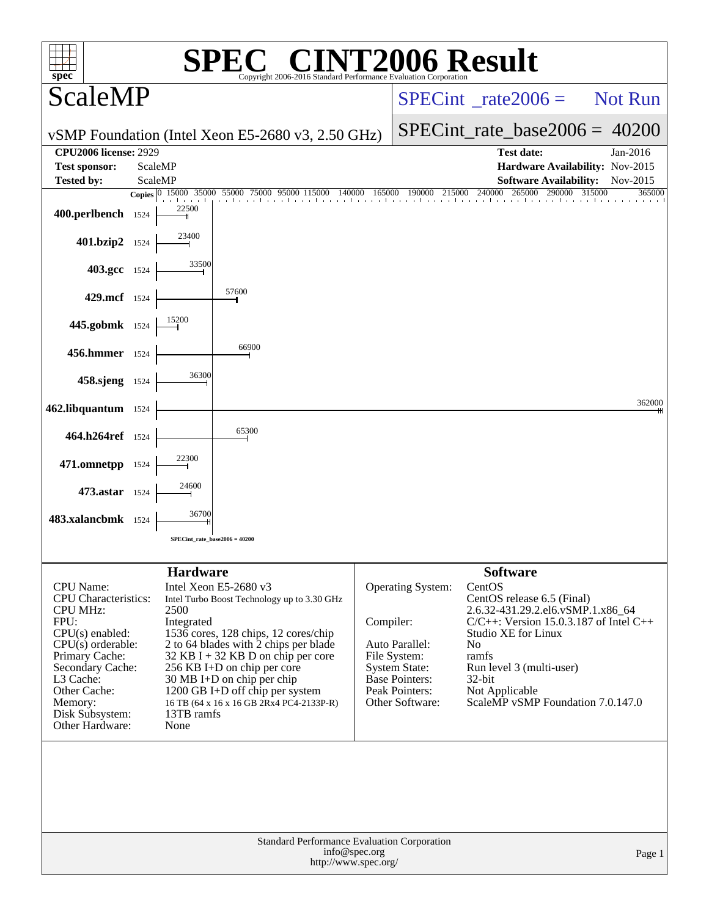| $spec^*$                                                                                                                                                                                                                                   |         |                                                             | <b>Example 18 CINT2006 Result</b><br>Copyright 2006-2016 Standard Performance Evaluation Cornoratio                                                                                                                                                                                                                                                 |               |                                                                                                                                                  |                                                                                                                                                                                                                                                                                        |                  |
|--------------------------------------------------------------------------------------------------------------------------------------------------------------------------------------------------------------------------------------------|---------|-------------------------------------------------------------|-----------------------------------------------------------------------------------------------------------------------------------------------------------------------------------------------------------------------------------------------------------------------------------------------------------------------------------------------------|---------------|--------------------------------------------------------------------------------------------------------------------------------------------------|----------------------------------------------------------------------------------------------------------------------------------------------------------------------------------------------------------------------------------------------------------------------------------------|------------------|
| <b>ScaleMP</b>                                                                                                                                                                                                                             |         |                                                             |                                                                                                                                                                                                                                                                                                                                                     |               |                                                                                                                                                  | $SPECint^{\circ}$ rate $2006 =$                                                                                                                                                                                                                                                        | Not Run          |
|                                                                                                                                                                                                                                            |         |                                                             | vSMP Foundation (Intel Xeon E5-2680 v3, 2.50 GHz)                                                                                                                                                                                                                                                                                                   |               |                                                                                                                                                  | $SPECint_rate_base2006 = 40200$                                                                                                                                                                                                                                                        |                  |
| <b>CPU2006 license: 2929</b><br><b>Test sponsor:</b>                                                                                                                                                                                       |         | ScaleMP                                                     |                                                                                                                                                                                                                                                                                                                                                     |               |                                                                                                                                                  | <b>Test date:</b><br>Hardware Availability: Nov-2015                                                                                                                                                                                                                                   | Jan-2016         |
| Tested by:                                                                                                                                                                                                                                 | ScaleMP |                                                             |                                                                                                                                                                                                                                                                                                                                                     |               |                                                                                                                                                  | <b>Software Availability:</b>                                                                                                                                                                                                                                                          | Nov-2015         |
| 400.perlbench 1524                                                                                                                                                                                                                         |         | 22500                                                       | Copies 0 15000 35000 55000 75000 95000 115000<br>140000                                                                                                                                                                                                                                                                                             | 165000        | 190000<br>215000                                                                                                                                 | 240000<br>265000<br>290000                                                                                                                                                                                                                                                             | 315000<br>365000 |
| 401.bzip2 1524                                                                                                                                                                                                                             |         | 23400                                                       |                                                                                                                                                                                                                                                                                                                                                     |               |                                                                                                                                                  |                                                                                                                                                                                                                                                                                        |                  |
| 403.gcc 1524                                                                                                                                                                                                                               |         | 33500                                                       |                                                                                                                                                                                                                                                                                                                                                     |               |                                                                                                                                                  |                                                                                                                                                                                                                                                                                        |                  |
| 429.mcf 1524                                                                                                                                                                                                                               |         |                                                             | 57600                                                                                                                                                                                                                                                                                                                                               |               |                                                                                                                                                  |                                                                                                                                                                                                                                                                                        |                  |
| 445.gobmk 1524                                                                                                                                                                                                                             |         | 15200                                                       |                                                                                                                                                                                                                                                                                                                                                     |               |                                                                                                                                                  |                                                                                                                                                                                                                                                                                        |                  |
| 456.hmmer 1524                                                                                                                                                                                                                             |         |                                                             | 66900                                                                                                                                                                                                                                                                                                                                               |               |                                                                                                                                                  |                                                                                                                                                                                                                                                                                        |                  |
| 458.sjeng 1524                                                                                                                                                                                                                             |         | 36300                                                       |                                                                                                                                                                                                                                                                                                                                                     |               |                                                                                                                                                  |                                                                                                                                                                                                                                                                                        |                  |
| 462.libquantum 1524                                                                                                                                                                                                                        |         |                                                             |                                                                                                                                                                                                                                                                                                                                                     |               |                                                                                                                                                  |                                                                                                                                                                                                                                                                                        | 362000           |
| 464.h264ref 1524                                                                                                                                                                                                                           |         |                                                             | 65300                                                                                                                                                                                                                                                                                                                                               |               |                                                                                                                                                  |                                                                                                                                                                                                                                                                                        |                  |
| 471.omnetpp 1524                                                                                                                                                                                                                           |         | 22300                                                       |                                                                                                                                                                                                                                                                                                                                                     |               |                                                                                                                                                  |                                                                                                                                                                                                                                                                                        |                  |
| 473.astar 1524                                                                                                                                                                                                                             |         | 24600                                                       |                                                                                                                                                                                                                                                                                                                                                     |               |                                                                                                                                                  |                                                                                                                                                                                                                                                                                        |                  |
| 483.xalancbmk 1524                                                                                                                                                                                                                         |         | 36700                                                       |                                                                                                                                                                                                                                                                                                                                                     |               |                                                                                                                                                  |                                                                                                                                                                                                                                                                                        |                  |
|                                                                                                                                                                                                                                            |         | $SPECint_rate_base2006 = 40200$                             |                                                                                                                                                                                                                                                                                                                                                     |               |                                                                                                                                                  |                                                                                                                                                                                                                                                                                        |                  |
| <b>CPU</b> Name:<br><b>CPU</b> Characteristics:<br><b>CPU MHz:</b><br>FPU:<br>$CPU(s)$ enabled:<br>$CPU(s)$ orderable:<br>Primary Cache:<br>Secondary Cache:<br>L3 Cache:<br>Other Cache:<br>Memory:<br>Disk Subsystem:<br>Other Hardware: |         | <b>Hardware</b><br>2500<br>Integrated<br>13TB ramfs<br>None | Intel Xeon E5-2680 v3<br>Intel Turbo Boost Technology up to 3.30 GHz<br>1536 cores, 128 chips, 12 cores/chip<br>2 to 64 blades with 2 chips per blade<br>$32$ KB I + 32 KB D on chip per core<br>256 KB I+D on chip per core<br>$30 \text{ MB I+D}$ on chip per chip<br>1200 GB I+D off chip per system<br>16 TB (64 x 16 x 16 GB 2Rx4 PC4-2133P-R) | Compiler:     | <b>Operating System:</b><br>Auto Parallel:<br>File System:<br><b>System State:</b><br><b>Base Pointers:</b><br>Peak Pointers:<br>Other Software: | <b>Software</b><br>CentOS<br>CentOS release 6.5 (Final)<br>2.6.32-431.29.2.el6.vSMP.1.x86_64<br>$C/C++$ : Version 15.0.3.187 of Intel C++<br><b>Studio XE for Linux</b><br>No<br>ramfs<br>Run level 3 (multi-user)<br>$32$ -bit<br>Not Applicable<br>ScaleMP vSMP Foundation 7.0.147.0 |                  |
|                                                                                                                                                                                                                                            |         |                                                             | Standard Performance Evaluation Corporation<br>http://www.spec.org/                                                                                                                                                                                                                                                                                 | info@spec.org |                                                                                                                                                  |                                                                                                                                                                                                                                                                                        | Page 1           |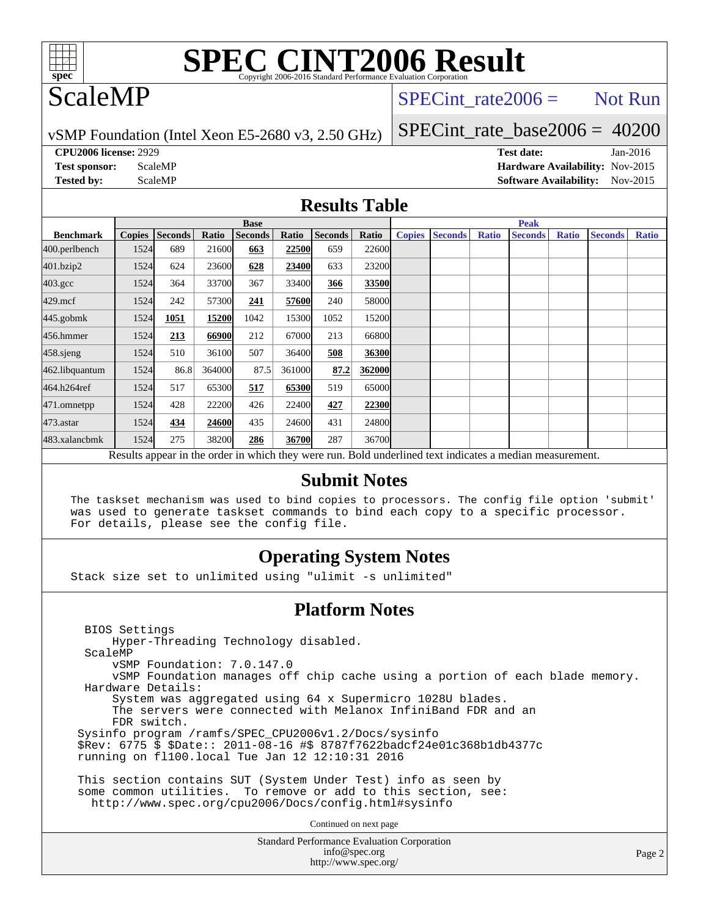

## ScaleMP

SPECint rate  $2006 =$  Not Run

vSMP Foundation (Intel Xeon E5-2680 v3, 2.50 GHz)

SPECint rate base2006 =  $40200$ 

**[CPU2006 license:](http://www.spec.org/auto/cpu2006/Docs/result-fields.html#CPU2006license)** 2929 **[Test date:](http://www.spec.org/auto/cpu2006/Docs/result-fields.html#Testdate)** Jan-2016

**[Test sponsor:](http://www.spec.org/auto/cpu2006/Docs/result-fields.html#Testsponsor)** ScaleMP **[Hardware Availability:](http://www.spec.org/auto/cpu2006/Docs/result-fields.html#HardwareAvailability)** Nov-2015 **[Tested by:](http://www.spec.org/auto/cpu2006/Docs/result-fields.html#Testedby)** ScaleMP **ScaleMP [Software Availability:](http://www.spec.org/auto/cpu2006/Docs/result-fields.html#SoftwareAvailability)** Nov-2015

### **[Results Table](http://www.spec.org/auto/cpu2006/Docs/result-fields.html#ResultsTable)**

|                                                                                                          | <b>Base</b> |                |        |                |        |                |              |               | <b>Peak</b>    |              |                |              |                |              |  |  |  |  |
|----------------------------------------------------------------------------------------------------------|-------------|----------------|--------|----------------|--------|----------------|--------------|---------------|----------------|--------------|----------------|--------------|----------------|--------------|--|--|--|--|
| <b>Benchmark</b>                                                                                         | Copies      | <b>Seconds</b> | Ratio  | <b>Seconds</b> | Ratio  | <b>Seconds</b> | Ratio        | <b>Copies</b> | <b>Seconds</b> | <b>Ratio</b> | <b>Seconds</b> | <b>Ratio</b> | <b>Seconds</b> | <b>Ratio</b> |  |  |  |  |
| 400.perlbench                                                                                            | 1524        | 689            | 21600  | 663            | 22500  | 659            | <b>22600</b> |               |                |              |                |              |                |              |  |  |  |  |
| 401.bzip2                                                                                                | 1524        | 624            | 23600  | 628            | 23400  | 633            | 23200        |               |                |              |                |              |                |              |  |  |  |  |
| $403.\mathrm{gcc}$                                                                                       | 1524        | 364            | 33700  | 367            | 33400  | 366            | 33500        |               |                |              |                |              |                |              |  |  |  |  |
| $429$ .mcf                                                                                               | 1524        | 242            | 57300  | 241            | 57600  | 240            | 58000        |               |                |              |                |              |                |              |  |  |  |  |
| $445$ .gobm $k$                                                                                          | 1524        | 1051           | 15200  | 1042           | 15300  | 1052           | 15200        |               |                |              |                |              |                |              |  |  |  |  |
| 456.hmmer                                                                                                | 1524        | 213            | 66900  | 212            | 67000  | 213            | 66800        |               |                |              |                |              |                |              |  |  |  |  |
| $458$ .sjeng                                                                                             | 1524        | 510            | 36100  | 507            | 36400  | 508            | 36300        |               |                |              |                |              |                |              |  |  |  |  |
| 462.libquantum                                                                                           | 1524        | 86.8           | 364000 | 87.5           | 361000 | 87.2           | 362000       |               |                |              |                |              |                |              |  |  |  |  |
| 464.h264ref                                                                                              | 1524        | 517            | 65300  | 517            | 65300  | 519            | 65000        |               |                |              |                |              |                |              |  |  |  |  |
| 471.omnetpp                                                                                              | 1524        | 428            | 22200  | 426            | 22400  | 427            | 22300        |               |                |              |                |              |                |              |  |  |  |  |
| $473$ . astar                                                                                            | 1524        | 434            | 24600  | 435            | 24600  | 431            | 24800        |               |                |              |                |              |                |              |  |  |  |  |
| 483.xalancbmk                                                                                            | 1524        | 275            | 38200  | 286            | 36700  | 287            | 36700        |               |                |              |                |              |                |              |  |  |  |  |
| Results appear in the order in which they were run. Bold underlined text indicates a median measurement. |             |                |        |                |        |                |              |               |                |              |                |              |                |              |  |  |  |  |

### **[Submit Notes](http://www.spec.org/auto/cpu2006/Docs/result-fields.html#SubmitNotes)**

The taskset mechanism was used to bind copies to processors. The config file option 'submit' was used to generate taskset commands to bind each copy to a specific processor. For details, please see the config file.

## **[Operating System Notes](http://www.spec.org/auto/cpu2006/Docs/result-fields.html#OperatingSystemNotes)**

Stack size set to unlimited using "ulimit -s unlimited"

### **[Platform Notes](http://www.spec.org/auto/cpu2006/Docs/result-fields.html#PlatformNotes)**

Standard Performance Evaluation Corporation [info@spec.org](mailto:info@spec.org) BIOS Settings Hyper-Threading Technology disabled. ScaleMP vSMP Foundation: 7.0.147.0 vSMP Foundation manages off chip cache using a portion of each blade memory. Hardware Details: System was aggregated using 64 x Supermicro 1028U blades. The servers were connected with Melanox InfiniBand FDR and an FDR switch. Sysinfo program /ramfs/SPEC\_CPU2006v1.2/Docs/sysinfo \$Rev: 6775 \$ \$Date:: 2011-08-16 #\$ 8787f7622badcf24e01c368b1db4377c running on fl100.local Tue Jan 12 12:10:31 2016 This section contains SUT (System Under Test) info as seen by some common utilities. To remove or add to this section, see: <http://www.spec.org/cpu2006/Docs/config.html#sysinfo> Continued on next page

<http://www.spec.org/>

Page 2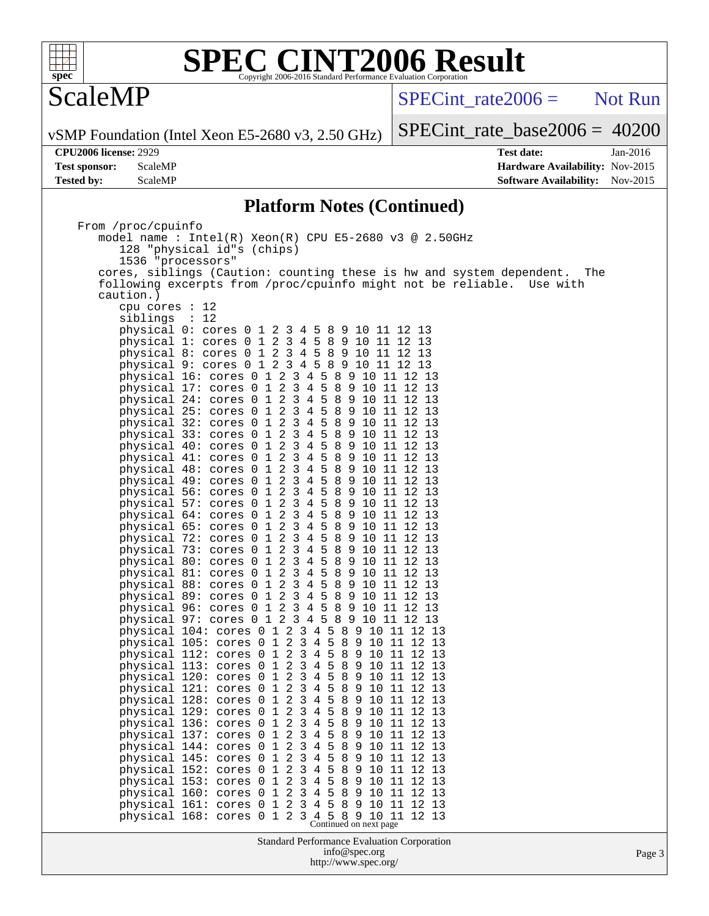

ScaleMP

 $SPECTnt_rate2006 =$  Not Run

vSMP Foundation (Intel Xeon E5-2680 v3, 2.50 GHz)

[SPECint\\_rate\\_base2006 =](http://www.spec.org/auto/cpu2006/Docs/result-fields.html#SPECintratebase2006) 40200

**[CPU2006 license:](http://www.spec.org/auto/cpu2006/Docs/result-fields.html#CPU2006license)** 2929 **[Test date:](http://www.spec.org/auto/cpu2006/Docs/result-fields.html#Testdate)** Jan-2016 **[Test sponsor:](http://www.spec.org/auto/cpu2006/Docs/result-fields.html#Testsponsor)** ScaleMP **[Hardware Availability:](http://www.spec.org/auto/cpu2006/Docs/result-fields.html#HardwareAvailability)** Nov-2015 **[Tested by:](http://www.spec.org/auto/cpu2006/Docs/result-fields.html#Testedby)** ScaleMP **ScaleMP [Software Availability:](http://www.spec.org/auto/cpu2006/Docs/result-fields.html#SoftwareAvailability)** Nov-2015

## **[Platform Notes \(Continued\)](http://www.spec.org/auto/cpu2006/Docs/result-fields.html#PlatformNotes)**

| From /proc/cpuinfo                                                          |        |
|-----------------------------------------------------------------------------|--------|
| model name : Intel(R) Xeon(R) CPU E5-2680 v3 @ 2.50GHz                      |        |
| 128 "physical id"s (chips)                                                  |        |
| 1536 "processors"                                                           |        |
| cores, siblings (Caution: counting these is hw and system dependent.<br>The |        |
| following excerpts from /proc/cpuinfo might not be reliable. Use with       |        |
| caution.)                                                                   |        |
| cpu cores : 12                                                              |        |
| siblings : 12                                                               |        |
| physical 0: cores 0 1 2 3 4 5 8 9 10 11 12 13                               |        |
| physical 1: cores 0 1 2 3 4 5 8 9 10 11 12 13                               |        |
| physical 8: cores 0 1 2 3 4 5 8 9 10 11 12 13                               |        |
| physical 9: cores 0 1 2 3 4 5 8 9 10 11 12 13                               |        |
| physical 16: cores 0 1 2 3 4 5 8 9 10 11 12 13                              |        |
| physical 17: cores 0 1 2 3 4 5 8 9 10 11 12 13                              |        |
| physical 24: cores 0 1 2 3 4 5 8 9 10 11 12 13                              |        |
| physical 25: cores 0 1 2 3 4 5 8 9 10 11 12 13                              |        |
| physical 32: cores 0 1 2 3 4 5 8 9 10 11 12 13                              |        |
| physical 33: cores 0 1 2 3 4 5 8 9 10 11 12 13                              |        |
| physical 40: cores 0 1 2 3 4 5 8 9 10 11 12 13                              |        |
| physical 41: cores 0 1 2 3 4 5 8 9 10 11 12 13                              |        |
| physical 48: cores 0 1 2 3 4 5 8 9 10 11 12 13                              |        |
| physical 49: cores 0 1 2 3 4 5 8 9 10 11 12 13                              |        |
| physical 56: cores 0 1 2 3 4 5 8 9 10 11 12 13                              |        |
| physical 57: cores 0 1 2 3 4 5 8 9 10 11 12 13                              |        |
| physical 64: cores 0 1 2 3 4 5 8 9 10 11 12 13                              |        |
| physical 65: cores 0 1 2 3 4 5 8 9 10 11 12 13                              |        |
| physical 72: cores 0 1 2 3 4 5 8 9 10 11 12 13                              |        |
| physical 73: cores 0 1 2 3 4 5 8 9 10 11 12 13                              |        |
| physical 80: cores 0 1 2 3 4 5 8 9 10 11 12 13                              |        |
| physical 81: cores 0 1 2 3 4 5 8 9 10 11 12 13                              |        |
| physical 88: cores 0 1 2 3 4 5 8 9 10 11 12 13                              |        |
| physical 89: cores 0 1 2 3 4 5 8 9 10 11 12 13                              |        |
| physical 96: cores 0 1 2 3 4 5 8 9 10 11 12 13                              |        |
| physical 97: cores 0 1 2 3 4 5 8 9 10 11 12 13                              |        |
| physical 104: cores 0 1 2 3 4 5 8 9 10 11 12 13                             |        |
| physical 105: cores 0 1 2 3 4 5 8 9 10 11 12 13                             |        |
| physical 112: cores 0 1 2 3 4 5 8 9 10 11 12 13                             |        |
| physical 113: cores 0 1 2 3 4 5 8 9 10 11 12 13                             |        |
| physical 120: cores 0 1 2 3 4 5 8 9 10 11 12 13                             |        |
| physical 121: cores 0 1 2 3 4 5 8 9 10 11 12 13                             |        |
| physical 128: cores 0 1 2 3 4 5 8 9 10 11 12 13                             |        |
| physical 129: cores 0 1 2 3 4 5 8 9 10 11 12 13                             |        |
| physical 136: cores 0 1 2 3 4 5 8 9 10 11 12 13                             |        |
| physical 137: cores 0 1 2 3 4 5 8 9 10 11 12 13                             |        |
| physical 144: cores 0 1 2 3 4 5 8 9 10 11 12 13                             |        |
| physical 145: cores 0 1 2 3 4 5 8 9 10 11 12 13                             |        |
| physical 152: cores 0 1 2 3 4 5 8 9 10 11 12 13                             |        |
| physical 153: cores 0 1 2 3 4 5 8 9 10 11 12 13                             |        |
| physical 160: cores 0 1 2 3 4 5 8 9 10 11 12 13                             |        |
| physical 161: cores 0 1 2 3 4 5 8 9 10 11 12 13                             |        |
|                                                                             |        |
| physical 168: cores 0 1 2 3 4 5 8 9 10 11 12 13<br>Continued on next page   |        |
| Standard Performance Evaluation Corporation                                 |        |
| info@spec.org                                                               | Page 3 |
| http://www.spec.org/                                                        |        |
|                                                                             |        |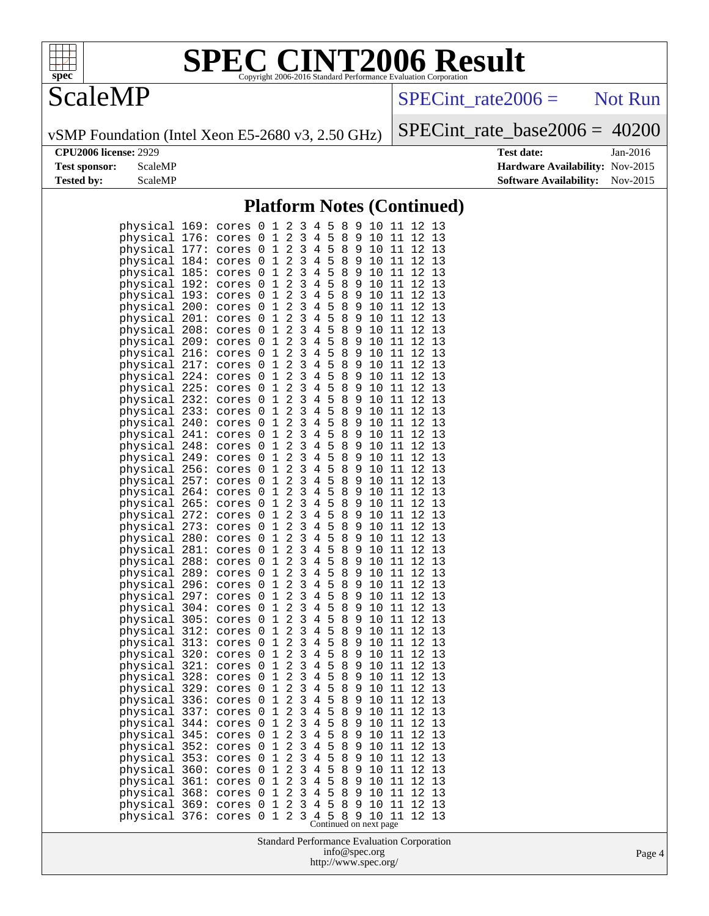

## **ScaleMP**

 $SPECTnt_rate2006 =$  Not Run

vSMP Foundation (Intel Xeon E5-2680 v3, 2.50 GHz)

[SPECint\\_rate\\_base2006 =](http://www.spec.org/auto/cpu2006/Docs/result-fields.html#SPECintratebase2006) 40200

**[CPU2006 license:](http://www.spec.org/auto/cpu2006/Docs/result-fields.html#CPU2006license)** 2929 **[Test date:](http://www.spec.org/auto/cpu2006/Docs/result-fields.html#Testdate)** Jan-2016 **[Test sponsor:](http://www.spec.org/auto/cpu2006/Docs/result-fields.html#Testsponsor)** ScaleMP **[Hardware Availability:](http://www.spec.org/auto/cpu2006/Docs/result-fields.html#HardwareAvailability)** Nov-2015 **[Tested by:](http://www.spec.org/auto/cpu2006/Docs/result-fields.html#Testedby)** ScaleMP **ScaleMP [Software Availability:](http://www.spec.org/auto/cpu2006/Docs/result-fields.html#SoftwareAvailability)** Nov-2015

## **[Platform Notes \(Continued\)](http://www.spec.org/auto/cpu2006/Docs/result-fields.html#PlatformNotes)**

| physical                                                 | 169:                                 | cores                                     | 0                     | 1                                                                            | 2                                                                                      | 3                                         | 4                                  | 5                     | 8                      | 9                     | 10                                                  | 11                         | 12                         | 13                                                             |  |
|----------------------------------------------------------|--------------------------------------|-------------------------------------------|-----------------------|------------------------------------------------------------------------------|----------------------------------------------------------------------------------------|-------------------------------------------|------------------------------------|-----------------------|------------------------|-----------------------|-----------------------------------------------------|----------------------------|----------------------------|----------------------------------------------------------------|--|
| physical                                                 | 176:                                 | cores                                     | 0                     | $\mathbf{1}$                                                                 | $\overline{a}$                                                                         | 3                                         | $\overline{4}$                     | 5                     | 8                      | 9                     | 10                                                  | 11                         | 12                         | 13                                                             |  |
| physical                                                 | 177:                                 | cores                                     | 0                     | 1                                                                            | $\overline{a}$                                                                         | 3                                         | 4                                  | 5                     | 8                      | 9                     | 10                                                  | 11                         | 12                         | 13                                                             |  |
| physical                                                 | 184:                                 | cores                                     | 0                     | $\mathbf{1}$                                                                 | 2                                                                                      | 3                                         | 4                                  | 5                     | 8                      | 9                     | 10                                                  | 11                         | 12                         | 13                                                             |  |
| physical                                                 | 185:                                 | cores                                     | 0                     | 1                                                                            | 2                                                                                      | 3                                         | 4                                  | 5                     | 8                      | 9                     | 10                                                  | 11                         | 12                         | 13                                                             |  |
| physical                                                 | 192:                                 | cores                                     | 0                     | 1                                                                            | $\overline{a}$                                                                         | 3                                         | 4                                  | 5                     | 8                      | 9                     | 10                                                  | 11                         | 12                         | 13                                                             |  |
| physical                                                 | 193:                                 | cores                                     | 0                     | $\mathbf{1}$                                                                 | $\overline{a}$                                                                         | 3                                         | 4                                  | 5                     | 8                      | 9                     | 10                                                  | 11                         | 12                         | 13                                                             |  |
| physical                                                 | 200:                                 | cores                                     | 0                     | $\mathbf{1}$                                                                 | $\overline{a}$                                                                         | 3                                         | 4                                  | 5                     | 8                      | 9                     | 10                                                  | 11                         | 12                         | 13                                                             |  |
| physical                                                 | 201:                                 | cores                                     | 0                     | $\mathbf{1}$                                                                 | $\overline{a}$                                                                         | 3                                         | 4                                  | 5                     | 8                      | 9                     | 10                                                  | 11                         | 12                         | 13                                                             |  |
| physical                                                 | 208:                                 | cores                                     | 0                     | $\mathbf{1}$                                                                 | $\overline{a}$                                                                         | 3                                         | 4                                  | 5                     | 8                      | 9                     | 10                                                  | 11                         | 12                         | 13                                                             |  |
| physical<br>physical<br>physical<br>physical             | 209:<br>216:<br>217:<br>224:         | cores<br>cores<br>cores<br>cores          | 0<br>0<br>0<br>0<br>0 | $\mathbf{1}$<br>$\mathbf{1}$<br>$\mathbf{1}$<br>$\mathbf{1}$<br>$\mathbf{1}$ | $\overline{a}$<br>$\overline{a}$<br>$\overline{a}$<br>$\overline{a}$<br>$\overline{a}$ | 3<br>3<br>3<br>3<br>3                     | 4<br>4<br>4<br>$\overline{4}$<br>4 | 5<br>5<br>5<br>5<br>5 | 8<br>8<br>8<br>8<br>8  | 9<br>9<br>9<br>9<br>9 | 10<br>10<br>10<br>10<br>10                          | 11<br>11<br>11<br>11<br>11 | 12<br>12<br>12<br>12<br>12 | 13<br>13<br>13<br>13<br>13                                     |  |
| physical<br>physical<br>physical<br>physical<br>physical | 225:<br>232:<br>233:<br>240:<br>241: | cores<br>cores<br>cores<br>cores<br>cores | 0<br>0<br>0<br>0      | $\mathbf{1}$<br>$\mathbf{1}$<br>$\mathbf{1}$<br>$\mathbf{1}$                 | $\overline{a}$<br>$\overline{a}$<br>$\overline{a}$<br>$\overline{a}$                   | 3<br>3<br>3<br>3                          | 4<br>4<br>4<br>4                   | 5<br>5<br>5<br>5      | 8<br>8<br>8<br>8       | 9<br>9<br>9<br>9      | 10<br>10<br>10<br>10                                | 11<br>11<br>11<br>11       | 12<br>12<br>12<br>12       | 13<br>13<br>13<br>13                                           |  |
| physical                                                 | 248:                                 | cores                                     | 0                     | $\mathbf{1}$                                                                 | $\overline{a}$                                                                         | 3                                         | $\overline{4}$                     | 5                     | 8                      | 9                     | 10                                                  | 11                         | 12                         | 13                                                             |  |
| physical                                                 | 249:                                 | cores                                     | 0                     | $\mathbf{1}$                                                                 | $\overline{a}$                                                                         | 3                                         | $\overline{4}$                     | 5                     | 8                      | 9                     | 10                                                  | 11                         | 12                         | 13                                                             |  |
| physical                                                 | 256:                                 | cores                                     | 0                     | $\mathbf{1}$                                                                 | $\overline{a}$                                                                         | 3                                         | 4                                  | 5                     | 8                      | 9                     | 10                                                  | 11                         | 12                         | 13                                                             |  |
| physical                                                 | 257:                                 | cores                                     | 0                     | $\mathbf{1}$                                                                 | $\overline{a}$                                                                         | 3                                         | 4                                  | 5                     | 8                      | 9                     | 10                                                  | 11                         | 12                         | 13                                                             |  |
| physical                                                 | 264:                                 | cores                                     | 0                     | $\mathbf{1}$                                                                 | $\overline{a}$                                                                         | 3                                         | 4                                  | 5                     | 8                      | 9                     | 10                                                  | 11                         | 12                         | 13                                                             |  |
| physical                                                 | 265:                                 | cores                                     | 0                     | $\mathbf{1}$                                                                 | $\overline{a}$                                                                         | 3                                         | 4                                  | 5                     | 8                      | 9                     | 10                                                  | 11                         | 12                         | 13                                                             |  |
| physical                                                 | 272:                                 | cores                                     | 0                     | $\mathbf{1}$                                                                 | $\overline{a}$                                                                         | 3                                         | $\overline{4}$                     | 5                     | 8                      | 9                     | 10                                                  | 11                         | 12                         | 13                                                             |  |
| physical                                                 | 273:                                 | cores                                     | 0                     | $\mathbf{1}$                                                                 | $\overline{a}$                                                                         | 3                                         | $\overline{4}$                     | 5                     | 8                      | 9                     | 10                                                  | 11                         | 12                         | 13                                                             |  |
| physical                                                 | 280:                                 | cores                                     | 0                     | $\mathbf{1}$                                                                 | $\overline{a}$                                                                         | 3                                         | 4                                  | 5                     | 8                      | 9                     | 10                                                  | 11                         | 12                         | 13                                                             |  |
| physical                                                 | 281:                                 | cores                                     | 0                     | $\mathbf{1}$                                                                 | 2                                                                                      | 3                                         | 4                                  | 5                     | 8                      | 9                     | 10                                                  | 11                         | 12                         | 13                                                             |  |
| physical                                                 | 288:                                 | cores                                     | 0                     | $\mathbf{1}$                                                                 | $\overline{a}$                                                                         | 3                                         | 4                                  | 5                     | 8                      | 9                     | 10                                                  | 11                         | 12                         | 13                                                             |  |
| physical                                                 | 289:                                 | cores                                     | 0                     | $\mathbf{1}$                                                                 | $\overline{a}$                                                                         | 3                                         | 4                                  | 5                     | 8                      | 9                     | 10                                                  | 11                         | 12                         | 13                                                             |  |
| physical                                                 | 296:                                 | cores                                     | 0                     | $\mathbf{1}$                                                                 | $\overline{a}$                                                                         | 3                                         | $\overline{4}$                     | 5                     | 8                      | 9                     | 10                                                  | 11                         | 12                         | 13                                                             |  |
| physical                                                 | 297:                                 | cores                                     | 0                     | $\mathbf{1}$                                                                 | $\overline{a}$                                                                         | 3                                         | $\overline{4}$                     | 5                     | 8                      | 9                     | 10                                                  | 11                         | 12                         | 13                                                             |  |
| physical                                                 | 304:                                 | cores                                     | 0                     | $\mathbf{1}$                                                                 | $\overline{a}$                                                                         | 3                                         | 4                                  | 5                     | 8                      | 9                     | 10                                                  | 11                         | 12                         | 13                                                             |  |
| physical                                                 | 305:                                 | cores                                     | 0                     | $\mathbf{1}$                                                                 | 2                                                                                      | 3                                         | 4                                  | 5                     | 8                      | 9                     | 10                                                  | 11                         | 12                         | 13                                                             |  |
| physical                                                 | 312:                                 | cores                                     | 0                     | $\mathbf{1}$                                                                 | $\overline{a}$                                                                         | 3                                         | 4                                  | 5                     | 8                      | 9                     | 10                                                  | 11                         | 12                         | 13                                                             |  |
| physical                                                 | 313:                                 | cores                                     | 0                     | $\mathbf{1}$                                                                 | $\overline{a}$                                                                         | 3                                         | 4                                  | 5                     | 8                      | 9                     | 10                                                  | 11                         | 12                         | 13                                                             |  |
| physical                                                 | 320:                                 | cores                                     | 0                     | $\mathbf{1}$                                                                 | $\overline{a}$                                                                         | 3                                         | 4                                  | 5                     | 8                      | 9                     | 10                                                  | 11                         | 12                         | 13                                                             |  |
| physical                                                 | 321:                                 | cores                                     | 0                     | $\mathbf{1}$                                                                 | $\overline{a}$                                                                         | 3                                         | 4                                  | 5                     | 8                      | 9                     | 10                                                  | 11                         | 12                         | 13                                                             |  |
| physical                                                 | 328:                                 | cores                                     | 0                     | $\mathbf{1}$                                                                 | $\overline{a}$                                                                         | 3                                         | 4                                  | 5                     | 8                      | 9                     | 10                                                  | 11                         | 12                         | 13                                                             |  |
| physical                                                 | 329:                                 | cores                                     | 0                     | $\mathbf{1}$                                                                 | 2                                                                                      | 3                                         | 4                                  | 5                     | 8                      | 9                     | 10                                                  | 11                         | 12                         | 13                                                             |  |
| physical                                                 | 336:                                 | cores                                     | 0                     | $\mathbf{1}$                                                                 | $\overline{a}$                                                                         | 3                                         | 4                                  | 5                     | 8                      | 9                     | 10                                                  | 11                         | 12                         | 13                                                             |  |
| physical<br>physical<br>physical 345:<br>physical        | 337:<br>344:<br>352:                 | cores<br>cores<br>cores<br>cores          | 0<br>0<br>0<br>0      | $\mathbf{1}$<br>$\mathbf{1}$<br>$\mathbf 1$<br>$\mathbf 1$                   | $\overline{a}$<br>$\overline{a}$<br>$\overline{\mathbf{c}}$<br>2                       | 3<br>3<br>3<br>3                          | 4<br>4<br>4<br>4                   | 5<br>5<br>5<br>5      | 8<br>8<br>$\,8\,$<br>8 | 9<br>9<br>9<br>9      | 10<br>10<br>10<br>10                                | 11<br>11<br>11<br>11       | 12<br>12<br>$12\,$<br>12   | 13<br>13<br>13<br>13                                           |  |
| physical<br>physical<br>physical<br>physical             | 353:<br>360:<br>361:<br>368:         | cores<br>cores<br>cores<br>cores          | 0<br>0<br>0<br>0      | 1<br>1<br>$\mathbf 1$<br>$\mathbf 1$                                         | $\overline{c}$<br>$\overline{a}$<br>$\sqrt{2}$<br>2                                    | $\frac{3}{3}$<br>$\mathfrak{Z}$<br>3<br>3 | $\overline{4}$<br>4<br>4<br>4      | 5<br>5<br>5<br>5<br>5 | 8<br>$\,8\,$<br>8<br>8 | 9<br>9<br>9<br>9      | 10<br>10<br>10<br>10                                | $11\,$<br>11<br>11<br>11   | 12<br>12<br>12<br>12       | 13<br>13<br>13<br>13                                           |  |
| physical<br>physical                                     | 369:<br>376:                         | cores<br>cores                            | 0<br>0                | 1<br>$\mathbf 1$                                                             | $\overline{2}$<br>$\overline{2}$                                                       | 3                                         | 4<br>4                             | 5                     | 8<br>8                 | 9<br>9                | 10<br>10<br>Continued on next page<br>info@spec.org | 11<br>11                   | 12<br>12                   | 13<br>13<br><b>Standard Performance Evaluation Corporation</b> |  |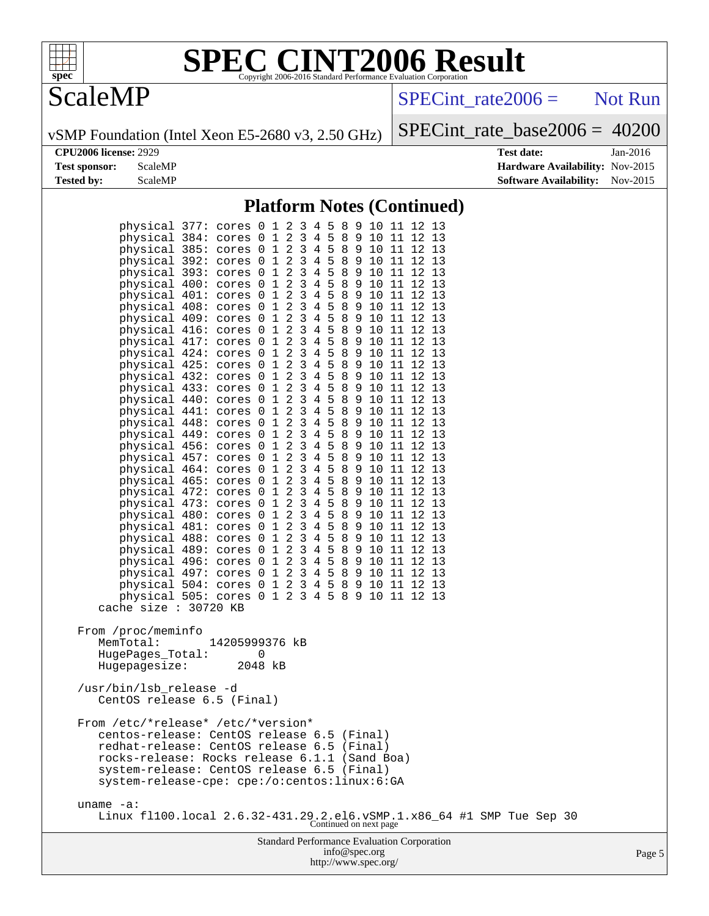

## **ScaleMP**

 $SPECTnt_rate2006 =$  Not Run

vSMP Foundation (Intel Xeon E5-2680 v3, 2.50 GHz)

[SPECint\\_rate\\_base2006 =](http://www.spec.org/auto/cpu2006/Docs/result-fields.html#SPECintratebase2006) 40200

**[CPU2006 license:](http://www.spec.org/auto/cpu2006/Docs/result-fields.html#CPU2006license)** 2929 **[Test date:](http://www.spec.org/auto/cpu2006/Docs/result-fields.html#Testdate)** Jan-2016 **[Test sponsor:](http://www.spec.org/auto/cpu2006/Docs/result-fields.html#Testsponsor)** ScaleMP **[Hardware Availability:](http://www.spec.org/auto/cpu2006/Docs/result-fields.html#HardwareAvailability)** Nov-2015 **[Tested by:](http://www.spec.org/auto/cpu2006/Docs/result-fields.html#Testedby)** ScaleMP **ScaleMP [Software Availability:](http://www.spec.org/auto/cpu2006/Docs/result-fields.html#SoftwareAvailability)** Nov-2015

## **[Platform Notes \(Continued\)](http://www.spec.org/auto/cpu2006/Docs/result-fields.html#PlatformNotes)**

| physical 377: cores 0 1 2 3 4 5 8 9 10 11 12 13<br>physical 384: cores 0 1 2 3 4 5 8 9 10 11 12 13<br>physical 385: cores 0 1 2 3 4 5 8 9 10 11 12 13<br>physical 392: cores 0 1 2 3 4 5 8 9 10 11 12 13<br>physical 393: cores 0 1 2 3 4 5 8 9 10 11 12 13<br>physical 400: cores 0 1 2 3 4 5 8 9 10 11 12 13<br>physical 401: cores 0 1 2 3 4 5 8 9 10 11 12 13<br>physical 408: cores 0 1 2 3 4 5 8 9 10 11 12 13<br>physical 409: cores 0 1 2 3 4 5 8 9 10 11 12 13<br>physical 416: cores 0 1 2 3 4 5 8 9 10 11 12 13<br>physical 417: cores 0 1 2 3 4 5 8 9 10 11 12 13<br>physical 424: cores 0 1 2 3 4 5 8 9 10 11 12 13<br>physical 425: cores 0 1 2 3 4 5 8 9 10 11 12 13<br>physical 432: cores 0 1 2 3 4 5 8 9 10 11 12 13<br>physical 433: cores 0 1 2 3 4 5 8 9 10 11 12 13<br>physical 440: cores 0 1 2 3 4 5 8 9 10 11 12 13<br>physical 441: cores 0 1 2 3 4 5 8 9 10 11 12 13<br>physical 448: cores 0 1 2 3 4 5 8 9 10 11 12 13<br>physical 449: cores 0 1 2 3 4 5 8 9 10 11 12 13<br>physical 456: cores 0 1 2 3 4 5 8 9 10 11 12 13<br>physical 457: cores 0 1 2 3 4 5 8 9 10 11 12 13<br>physical 464: cores 0 1 2 3 4 5 8 9 10 11 12 13<br>physical 465: cores 0 1 2 3 4 5 8 9 10 11 12 13<br>physical 472: cores 0 1 2 3 4 5 8 9 10 11 12 13<br>physical 473: cores 0 1 2 3 4 5 8 9 10 11 12 13<br>physical 480: cores 0 1 2 3 4 5 8 9 10 11 12 13<br>physical 481: cores 0 1 2 3 4 5 8 9 10 11 12 13<br>physical 488: cores 0 1 2 3 4 5 8 9 10 11 12 13<br>physical 489: cores 0 1 2 3 4 5 8 9 10 11 12 13<br>physical 496: cores 0 1 2 3 4 5 8 9 10 11 12 13<br>physical 497: cores 0 1 2 3 4 5 8 9 10 11 12 13<br>physical 504: cores 0 1 2 3 4 5 8 9 10 11 12 13<br>physical 505: cores 0 1 2 3 4 5 8 9 10 11 12 13<br>cache size : 30720 KB |  |  |  |  |  |  |  |  |  |
|--------------------------------------------------------------------------------------------------------------------------------------------------------------------------------------------------------------------------------------------------------------------------------------------------------------------------------------------------------------------------------------------------------------------------------------------------------------------------------------------------------------------------------------------------------------------------------------------------------------------------------------------------------------------------------------------------------------------------------------------------------------------------------------------------------------------------------------------------------------------------------------------------------------------------------------------------------------------------------------------------------------------------------------------------------------------------------------------------------------------------------------------------------------------------------------------------------------------------------------------------------------------------------------------------------------------------------------------------------------------------------------------------------------------------------------------------------------------------------------------------------------------------------------------------------------------------------------------------------------------------------------------------------------------------------------------------------------------------------------------------------------------------|--|--|--|--|--|--|--|--|--|
| From /proc/meminfo<br>MemTotal:<br>14205999376 kB<br>HugePages_Total:<br>0<br>Hugepagesize:<br>2048 kB                                                                                                                                                                                                                                                                                                                                                                                                                                                                                                                                                                                                                                                                                                                                                                                                                                                                                                                                                                                                                                                                                                                                                                                                                                                                                                                                                                                                                                                                                                                                                                                                                                                                   |  |  |  |  |  |  |  |  |  |
| /usr/bin/lsb release -d<br>CentOS release 6.5 (Final)                                                                                                                                                                                                                                                                                                                                                                                                                                                                                                                                                                                                                                                                                                                                                                                                                                                                                                                                                                                                                                                                                                                                                                                                                                                                                                                                                                                                                                                                                                                                                                                                                                                                                                                    |  |  |  |  |  |  |  |  |  |
| From /etc/*release* /etc/*version*<br>centos-release: CentOS release 6.5 (Final)<br>redhat-release: CentOS release 6.5 (Final)<br>rocks-release: Rocks release 6.1.1 (Sand Boa)<br>system-release: CentOS release 6.5 (Final)<br>system-release-cpe: cpe:/o:centos:linux:6:GA                                                                                                                                                                                                                                                                                                                                                                                                                                                                                                                                                                                                                                                                                                                                                                                                                                                                                                                                                                                                                                                                                                                                                                                                                                                                                                                                                                                                                                                                                            |  |  |  |  |  |  |  |  |  |
| uname $-a$ :<br>Linux f1100.local $2.6.32-431.29.2. e16. vSMP.1.x86_64 #1 SMP Tue Sep 30Continued on next page$                                                                                                                                                                                                                                                                                                                                                                                                                                                                                                                                                                                                                                                                                                                                                                                                                                                                                                                                                                                                                                                                                                                                                                                                                                                                                                                                                                                                                                                                                                                                                                                                                                                          |  |  |  |  |  |  |  |  |  |
| <b>Standard Performance Evaluation Corporation</b><br>info@spec.org                                                                                                                                                                                                                                                                                                                                                                                                                                                                                                                                                                                                                                                                                                                                                                                                                                                                                                                                                                                                                                                                                                                                                                                                                                                                                                                                                                                                                                                                                                                                                                                                                                                                                                      |  |  |  |  |  |  |  |  |  |

<http://www.spec.org/>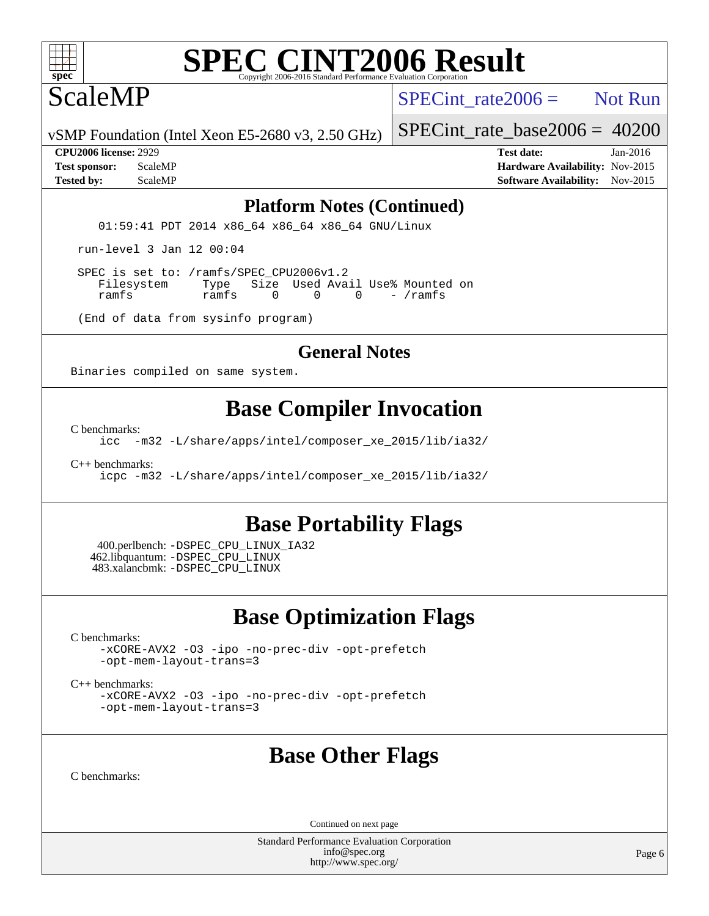

## ScaleMP

SPECint rate  $2006 =$  Not Run

vSMP Foundation (Intel Xeon E5-2680 v3, 2.50 GHz)

SPECint rate base2006 =  $40200$ 

**[CPU2006 license:](http://www.spec.org/auto/cpu2006/Docs/result-fields.html#CPU2006license)** 2929 **[Test date:](http://www.spec.org/auto/cpu2006/Docs/result-fields.html#Testdate)** Jan-2016 **[Test sponsor:](http://www.spec.org/auto/cpu2006/Docs/result-fields.html#Testsponsor)** ScaleMP **[Hardware Availability:](http://www.spec.org/auto/cpu2006/Docs/result-fields.html#HardwareAvailability)** Nov-2015 **[Tested by:](http://www.spec.org/auto/cpu2006/Docs/result-fields.html#Testedby)** ScaleMP **ScaleMP [Software Availability:](http://www.spec.org/auto/cpu2006/Docs/result-fields.html#SoftwareAvailability)** Nov-2015

### **[Platform Notes \(Continued\)](http://www.spec.org/auto/cpu2006/Docs/result-fields.html#PlatformNotes)**

01:59:41 PDT 2014 x86 64 x86 64 x86 64 GNU/Linux

run-level 3 Jan 12 00:04

SPEC is set to: /ramfs/SPEC\_CPU2006v1.2<br>Filesystem Type Size Used Ava Type Size Used Avail Use% Mounted on ramfs ramfs 0 0 0 - /ramfs

(End of data from sysinfo program)

### **[General Notes](http://www.spec.org/auto/cpu2006/Docs/result-fields.html#GeneralNotes)**

Binaries compiled on same system.

## **[Base Compiler Invocation](http://www.spec.org/auto/cpu2006/Docs/result-fields.html#BaseCompilerInvocation)**

[C benchmarks](http://www.spec.org/auto/cpu2006/Docs/result-fields.html#Cbenchmarks):

[icc -m32 -L/share/apps/intel/composer\\_xe\\_2015/lib/ia32/](http://www.spec.org/cpu2006/results/res2016q1/cpu2006-20160113-38706.flags.html#user_CCbase_intel_icc_673385d0878c1b6ef1c97cc41e45adec)

[C++ benchmarks:](http://www.spec.org/auto/cpu2006/Docs/result-fields.html#CXXbenchmarks)

[icpc -m32 -L/share/apps/intel/composer\\_xe\\_2015/lib/ia32/](http://www.spec.org/cpu2006/results/res2016q1/cpu2006-20160113-38706.flags.html#user_CXXbase_intel_icpc_8b7bc6269a2d42c2858eda1243bf2e8f)

## **[Base Portability Flags](http://www.spec.org/auto/cpu2006/Docs/result-fields.html#BasePortabilityFlags)**

 400.perlbench: [-DSPEC\\_CPU\\_LINUX\\_IA32](http://www.spec.org/cpu2006/results/res2016q1/cpu2006-20160113-38706.flags.html#b400.perlbench_baseCPORTABILITY_DSPEC_CPU_LINUX_IA32) 462.libquantum: [-DSPEC\\_CPU\\_LINUX](http://www.spec.org/cpu2006/results/res2016q1/cpu2006-20160113-38706.flags.html#b462.libquantum_baseCPORTABILITY_DSPEC_CPU_LINUX) 483.xalancbmk: [-DSPEC\\_CPU\\_LINUX](http://www.spec.org/cpu2006/results/res2016q1/cpu2006-20160113-38706.flags.html#b483.xalancbmk_baseCXXPORTABILITY_DSPEC_CPU_LINUX)

## **[Base Optimization Flags](http://www.spec.org/auto/cpu2006/Docs/result-fields.html#BaseOptimizationFlags)**

[C benchmarks](http://www.spec.org/auto/cpu2006/Docs/result-fields.html#Cbenchmarks):

[-xCORE-AVX2](http://www.spec.org/cpu2006/results/res2016q1/cpu2006-20160113-38706.flags.html#user_CCbase_f-xAVX2_5f5fc0cbe2c9f62c816d3e45806c70d7) [-O3](http://www.spec.org/cpu2006/results/res2016q1/cpu2006-20160113-38706.flags.html#user_CCbase_f-O3) [-ipo](http://www.spec.org/cpu2006/results/res2016q1/cpu2006-20160113-38706.flags.html#user_CCbase_f-ipo) [-no-prec-div](http://www.spec.org/cpu2006/results/res2016q1/cpu2006-20160113-38706.flags.html#user_CCbase_f-no-prec-div) [-opt-prefetch](http://www.spec.org/cpu2006/results/res2016q1/cpu2006-20160113-38706.flags.html#user_CCbase_f-opt-prefetch) [-opt-mem-layout-trans=3](http://www.spec.org/cpu2006/results/res2016q1/cpu2006-20160113-38706.flags.html#user_CCbase_f-opt-mem-layout-trans_a7b82ad4bd7abf52556d4961a2ae94d5)

[C++ benchmarks:](http://www.spec.org/auto/cpu2006/Docs/result-fields.html#CXXbenchmarks)

[-xCORE-AVX2](http://www.spec.org/cpu2006/results/res2016q1/cpu2006-20160113-38706.flags.html#user_CXXbase_f-xAVX2_5f5fc0cbe2c9f62c816d3e45806c70d7) [-O3](http://www.spec.org/cpu2006/results/res2016q1/cpu2006-20160113-38706.flags.html#user_CXXbase_f-O3) [-ipo](http://www.spec.org/cpu2006/results/res2016q1/cpu2006-20160113-38706.flags.html#user_CXXbase_f-ipo) [-no-prec-div](http://www.spec.org/cpu2006/results/res2016q1/cpu2006-20160113-38706.flags.html#user_CXXbase_f-no-prec-div) [-opt-prefetch](http://www.spec.org/cpu2006/results/res2016q1/cpu2006-20160113-38706.flags.html#user_CXXbase_f-opt-prefetch) [-opt-mem-layout-trans=3](http://www.spec.org/cpu2006/results/res2016q1/cpu2006-20160113-38706.flags.html#user_CXXbase_f-opt-mem-layout-trans_a7b82ad4bd7abf52556d4961a2ae94d5)

## **[Base Other Flags](http://www.spec.org/auto/cpu2006/Docs/result-fields.html#BaseOtherFlags)**

[C benchmarks](http://www.spec.org/auto/cpu2006/Docs/result-fields.html#Cbenchmarks):

Continued on next page

Standard Performance Evaluation Corporation [info@spec.org](mailto:info@spec.org) <http://www.spec.org/>